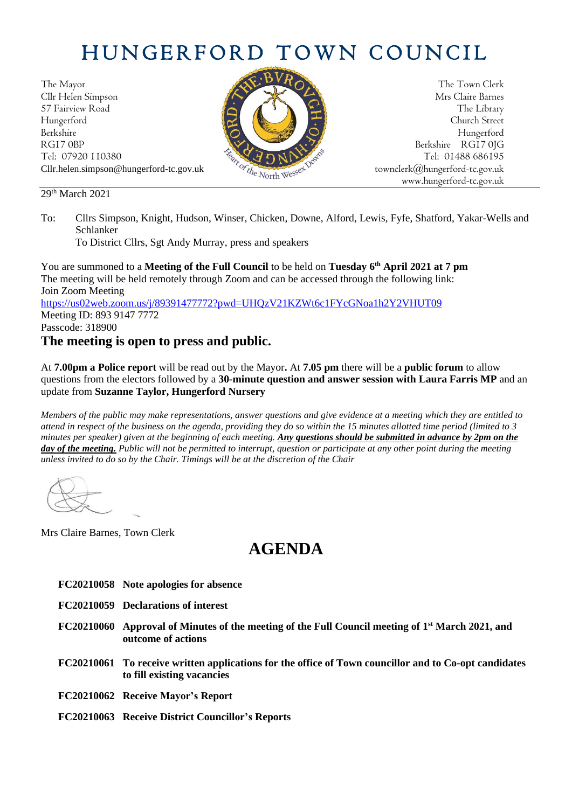# HUNGERFORD TOWN COUNCIL

The Mayor The Town Clerk Cllr Helen Simpson Mrs Claire Barnes 57 Fairview Road The Library (2002) 2013 12:38 The Library Hungerford Church Street Berkshire Hungerford RG17 0BP Berkshire RG17 0JG Cllr.helen.simpson@hungerford-tc.gov.uk [townclerk@hungerford-tc.gov.uk](mailto:townclerk@hungerford-tc.gov.uk)

Tel: 07920 110380 Tel: 07920 110380 Tel: 07920 110380 Tel: 01488 686195 www.hungerford-tc.gov.uk

#### 29<sup>th</sup> March 2021

To: Cllrs Simpson, Knight, Hudson, Winser, Chicken, Downe, Alford, Lewis, Fyfe, Shatford, Yakar-Wells and Schlanker

To District Cllrs, Sgt Andy Murray, press and speakers

You are summoned to a **Meeting of the Full Council** to be held on **Tuesday 6 th April 2021 at 7 pm** The meeting will be held remotely through Zoom and can be accessed through the following link: Join Zoom Meeting <https://us02web.zoom.us/j/89391477772?pwd=UHQzV21KZWt6c1FYcGNoa1h2Y2VHUT09> Meeting ID: 893 9147 7772 Passcode: 318900

#### **The meeting is open to press and public.**

At **7.00pm a Police report** will be read out by the Mayor**.** At **7.05 pm** there will be a **public forum** to allow questions from the electors followed by a **30-minute question and answer session with Laura Farris MP** and an update from **Suzanne Taylor, Hungerford Nursery**

*Members of the public may make representations, answer questions and give evidence at a meeting which they are entitled to attend in respect of the business on the agenda, providing they do so within the 15 minutes allotted time period (limited to 3 minutes per speaker) given at the beginning of each meeting. Any questions should be submitted in advance by 2pm on the day of the meeting. Public will not be permitted to interrupt, question or participate at any other point during the meeting unless invited to do so by the Chair. Timings will be at the discretion of the Chair*

Mrs Claire Barnes, Town Clerk

## **AGENDA**

- **FC20210058 Note apologies for absence**
- **FC20210059 Declarations of interest**
- **FC20210060 Approval of Minutes of the meeting of the Full Council meeting of 1 st March 2021, and outcome of actions**
- **FC20210061 To receive written applications for the office of Town councillor and to Co-opt candidates to fill existing vacancies**
- **FC20210062 Receive Mayor's Report**
- **FC20210063 Receive District Councillor's Reports**